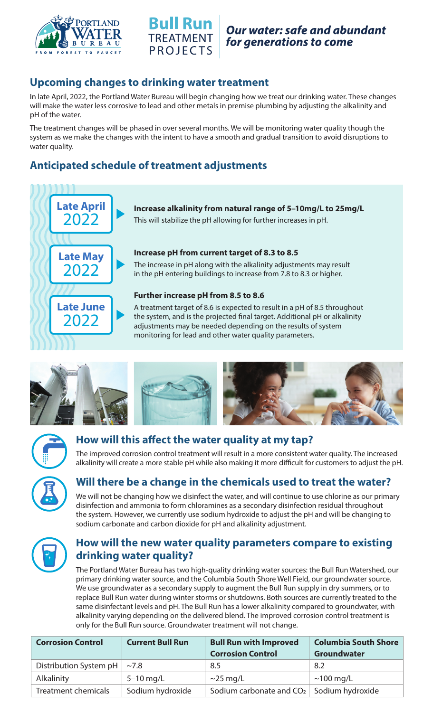



### **Upcoming changes to drinking water treatment**

In late April, 2022, the Portland Water Bureau will begin changing how we treat our drinking water. These changes will make the water less corrosive to lead and other metals in premise plumbing by adjusting the alkalinity and pH of the water.

The treatment changes will be phased in over several months. We will be monitoring water quality though the system as we make the changes with the intent to have a smooth and gradual transition to avoid disruptions to water quality.

# **Anticipated schedule of treatment adjustments**



**Increase alkalinity from natural range of 5–10mg/L to 25mg/L**

This will stabilize the pH allowing for further increases in pH.

#### **Increase pH from current target of 8.3 to 8.5**

The increase in pH along with the alkalinity adjustments may result in the pH entering buildings to increase from 7.8 to 8.3 or higher.

#### **Further increase pH from 8.5 to 8.6**

A treatment target of 8.6 is expected to result in a pH of 8.5 throughout the system, and is the projected final target. Additional pH or alkalinity adjustments may be needed depending on the results of system monitoring for lead and other water quality parameters.









#### **How will this affect the water quality at my tap?**

The improved corrosion control treatment will result in a more consistent water quality. The increased alkalinity will create a more stable pH while also making it more difficult for customers to adjust the pH.



## **Will there be a change in the chemicals used to treat the water?**

We will not be changing how we disinfect the water, and will continue to use chlorine as our primary disinfection and ammonia to form chloramines as a secondary disinfection residual throughout the system. However, we currently use sodium hydroxide to adjust the pH and will be changing to sodium carbonate and carbon dioxide for pH and alkalinity adjustment.



## **How will the new water quality parameters compare to existing drinking water quality?**

The Portland Water Bureau has two high-quality drinking water sources: the Bull Run Watershed, our primary drinking water source, and the Columbia South Shore Well Field, our groundwater source. We use groundwater as a secondary supply to augment the Bull Run supply in dry summers, or to replace Bull Run water during winter storms or shutdowns. Both sources are currently treated to the same disinfectant levels and pH. The Bull Run has a lower alkalinity compared to groundwater, with alkalinity varying depending on the delivered blend. The improved corrosion control treatment is only for the Bull Run source. Groundwater treatment will not change.

| <b>Corrosion Control</b> | <b>Current Bull Run</b> | <b>Bull Run with Improved</b><br><b>Corrosion Control</b> | <b>Columbia South Shore</b><br><b>Groundwater</b> |
|--------------------------|-------------------------|-----------------------------------------------------------|---------------------------------------------------|
| Distribution System pH   | ~1.8                    | 8.5                                                       | 8.2                                               |
| Alkalinity               | $5-10$ mg/L             | $\sim$ 25 mg/L                                            | $\sim$ 100 mg/L                                   |
| Treatment chemicals      | Sodium hydroxide        | Sodium carbonate and $CO2$   $5$ odium hydroxide          |                                                   |